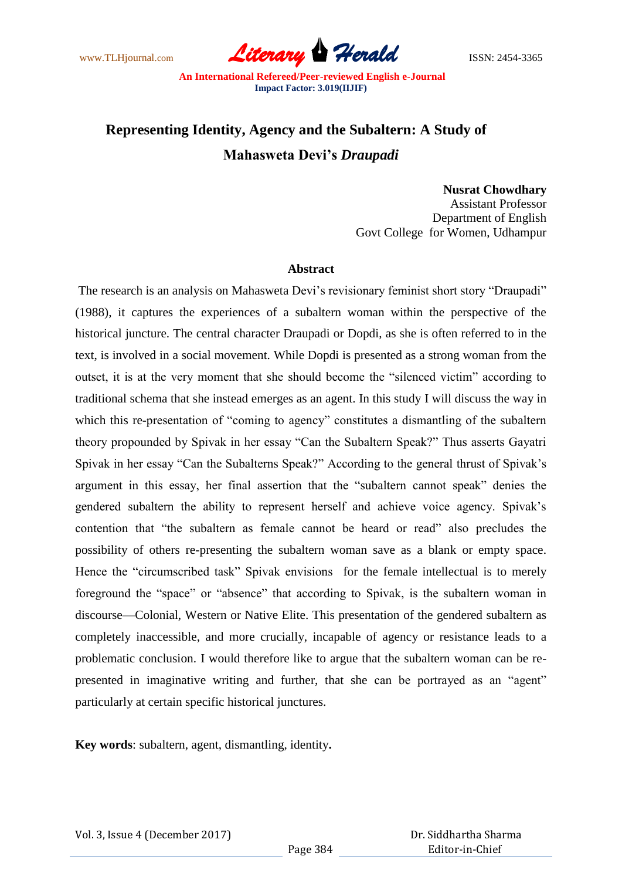www.TLHjournal.com **Literary Herald Herald** ISSN: 2454-3365

# **Representing Identity, Agency and the Subaltern: A Study of Mahasweta Devi's** *Draupadi*

### **Nusrat Chowdhary**

Assistant Professor Department of English Govt College for Women, Udhampur

### **Abstract**

The research is an analysis on Mahasweta Devi's revisionary feminist short story "Draupadi" (1988), it captures the experiences of a subaltern woman within the perspective of the historical juncture. The central character Draupadi or Dopdi, as she is often referred to in the text, is involved in a social movement. While Dopdi is presented as a strong woman from the outset, it is at the very moment that she should become the "silenced victim" according to traditional schema that she instead emerges as an agent. In this study I will discuss the way in which this re-presentation of "coming to agency" constitutes a dismantling of the subaltern theory propounded by Spivak in her essay "Can the Subaltern Speak?" Thus asserts Gayatri Spivak in her essay "Can the Subalterns Speak?" According to the general thrust of Spivak"s argument in this essay, her final assertion that the "subaltern cannot speak" denies the gendered subaltern the ability to represent herself and achieve voice agency. Spivak"s contention that "the subaltern as female cannot be heard or read" also precludes the possibility of others re-presenting the subaltern woman save as a blank or empty space. Hence the "circumscribed task" Spivak envisions for the female intellectual is to merely foreground the "space" or "absence" that according to Spivak, is the subaltern woman in discourse—Colonial, Western or Native Elite. This presentation of the gendered subaltern as completely inaccessible, and more crucially, incapable of agency or resistance leads to a problematic conclusion. I would therefore like to argue that the subaltern woman can be represented in imaginative writing and further, that she can be portrayed as an "agent" particularly at certain specific historical junctures.

**Key words**: subaltern, agent, dismantling, identity**.**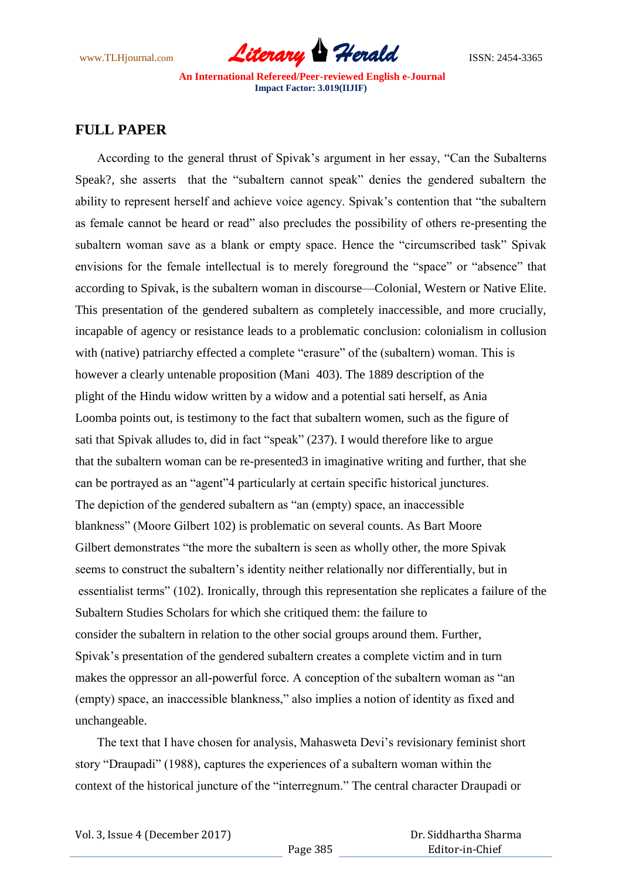

# **FULL PAPER**

 According to the general thrust of Spivak"s argument in her essay, "Can the Subalterns Speak?, she asserts that the "subaltern cannot speak" denies the gendered subaltern the ability to represent herself and achieve voice agency. Spivak's contention that "the subaltern as female cannot be heard or read" also precludes the possibility of others re-presenting the subaltern woman save as a blank or empty space. Hence the "circumscribed task" Spivak envisions for the female intellectual is to merely foreground the "space" or "absence" that according to Spivak, is the subaltern woman in discourse—Colonial, Western or Native Elite. This presentation of the gendered subaltern as completely inaccessible, and more crucially, incapable of agency or resistance leads to a problematic conclusion: colonialism in collusion with (native) patriarchy effected a complete "erasure" of the (subaltern) woman. This is however a clearly untenable proposition (Mani 403). The 1889 description of the plight of the Hindu widow written by a widow and a potential sati herself, as Ania Loomba points out, is testimony to the fact that subaltern women, such as the figure of sati that Spivak alludes to, did in fact "speak" (237). I would therefore like to argue that the subaltern woman can be re-presented3 in imaginative writing and further, that she can be portrayed as an "agent"4 particularly at certain specific historical junctures. The depiction of the gendered subaltern as "an (empty) space, an inaccessible blankness" (Moore Gilbert 102) is problematic on several counts. As Bart Moore Gilbert demonstrates "the more the subaltern is seen as wholly other, the more Spivak seems to construct the subaltern"s identity neither relationally nor differentially, but in essentialist terms" (102). Ironically, through this representation she replicates a failure of the Subaltern Studies Scholars for which she critiqued them: the failure to consider the subaltern in relation to the other social groups around them. Further, Spivak"s presentation of the gendered subaltern creates a complete victim and in turn makes the oppressor an all-powerful force. A conception of the subaltern woman as "an (empty) space, an inaccessible blankness," also implies a notion of identity as fixed and unchangeable.

The text that I have chosen for analysis, Mahasweta Devi's revisionary feminist short story "Draupadi" (1988), captures the experiences of a subaltern woman within the context of the historical juncture of the "interregnum." The central character Draupadi or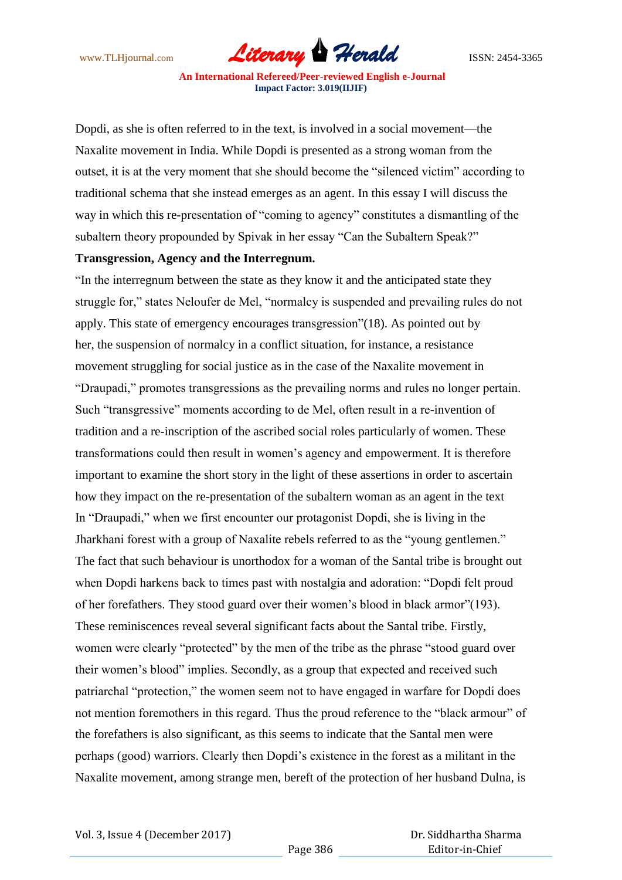

Dopdi, as she is often referred to in the text, is involved in a social movement—the Naxalite movement in India. While Dopdi is presented as a strong woman from the outset, it is at the very moment that she should become the "silenced victim" according to traditional schema that she instead emerges as an agent. In this essay I will discuss the way in which this re-presentation of "coming to agency" constitutes a dismantling of the subaltern theory propounded by Spivak in her essay "Can the Subaltern Speak?"

## **Transgression, Agency and the Interregnum.**

"In the interregnum between the state as they know it and the anticipated state they struggle for," states Neloufer de Mel, "normalcy is suspended and prevailing rules do not apply. This state of emergency encourages transgression"(18). As pointed out by her, the suspension of normalcy in a conflict situation, for instance, a resistance movement struggling for social justice as in the case of the Naxalite movement in "Draupadi," promotes transgressions as the prevailing norms and rules no longer pertain. Such "transgressive" moments according to de Mel, often result in a re-invention of tradition and a re-inscription of the ascribed social roles particularly of women. These transformations could then result in women"s agency and empowerment. It is therefore important to examine the short story in the light of these assertions in order to ascertain how they impact on the re-presentation of the subaltern woman as an agent in the text In "Draupadi," when we first encounter our protagonist Dopdi, she is living in the Jharkhani forest with a group of Naxalite rebels referred to as the "young gentlemen." The fact that such behaviour is unorthodox for a woman of the Santal tribe is brought out when Dopdi harkens back to times past with nostalgia and adoration: "Dopdi felt proud of her forefathers. They stood guard over their women"s blood in black armor"(193). These reminiscences reveal several significant facts about the Santal tribe. Firstly, women were clearly "protected" by the men of the tribe as the phrase "stood guard over their women"s blood" implies. Secondly, as a group that expected and received such patriarchal "protection," the women seem not to have engaged in warfare for Dopdi does not mention foremothers in this regard. Thus the proud reference to the "black armour" of the forefathers is also significant, as this seems to indicate that the Santal men were perhaps (good) warriors. Clearly then Dopdi"s existence in the forest as a militant in the Naxalite movement, among strange men, bereft of the protection of her husband Dulna, is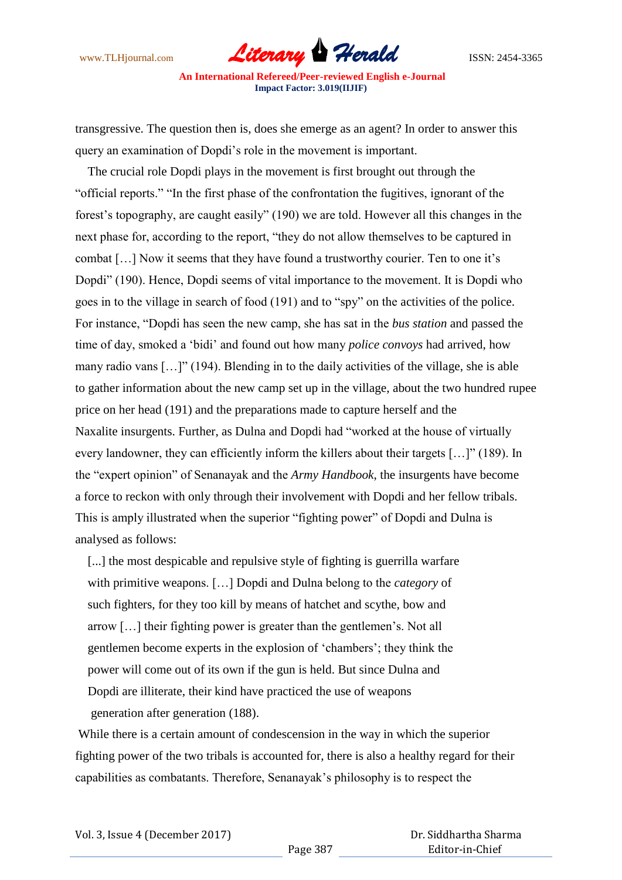

transgressive. The question then is, does she emerge as an agent? In order to answer this query an examination of Dopdi"s role in the movement is important.

 The crucial role Dopdi plays in the movement is first brought out through the "official reports." "In the first phase of the confrontation the fugitives, ignorant of the forest"s topography, are caught easily" (190) we are told. However all this changes in the next phase for, according to the report, "they do not allow themselves to be captured in combat [...] Now it seems that they have found a trustworthy courier. Ten to one it's Dopdi" (190). Hence, Dopdi seems of vital importance to the movement. It is Dopdi who goes in to the village in search of food (191) and to "spy" on the activities of the police. For instance, "Dopdi has seen the new camp, she has sat in the *bus station* and passed the time of day, smoked a "bidi" and found out how many *police convoys* had arrived, how many radio vans […]" (194). Blending in to the daily activities of the village, she is able to gather information about the new camp set up in the village, about the two hundred rupee price on her head (191) and the preparations made to capture herself and the Naxalite insurgents. Further, as Dulna and Dopdi had "worked at the house of virtually every landowner, they can efficiently inform the killers about their targets […]" (189). In the "expert opinion" of Senanayak and the *Army Handbook*, the insurgents have become a force to reckon with only through their involvement with Dopdi and her fellow tribals. This is amply illustrated when the superior "fighting power" of Dopdi and Dulna is analysed as follows:

[...] the most despicable and repulsive style of fighting is guerrilla warfare with primitive weapons. […] Dopdi and Dulna belong to the *category* of such fighters, for they too kill by means of hatchet and scythe, bow and arrow […] their fighting power is greater than the gentlemen"s. Not all gentlemen become experts in the explosion of "chambers"; they think the power will come out of its own if the gun is held. But since Dulna and Dopdi are illiterate, their kind have practiced the use of weapons generation after generation (188).

While there is a certain amount of condescension in the way in which the superior fighting power of the two tribals is accounted for, there is also a healthy regard for their capabilities as combatants. Therefore, Senanayak"s philosophy is to respect the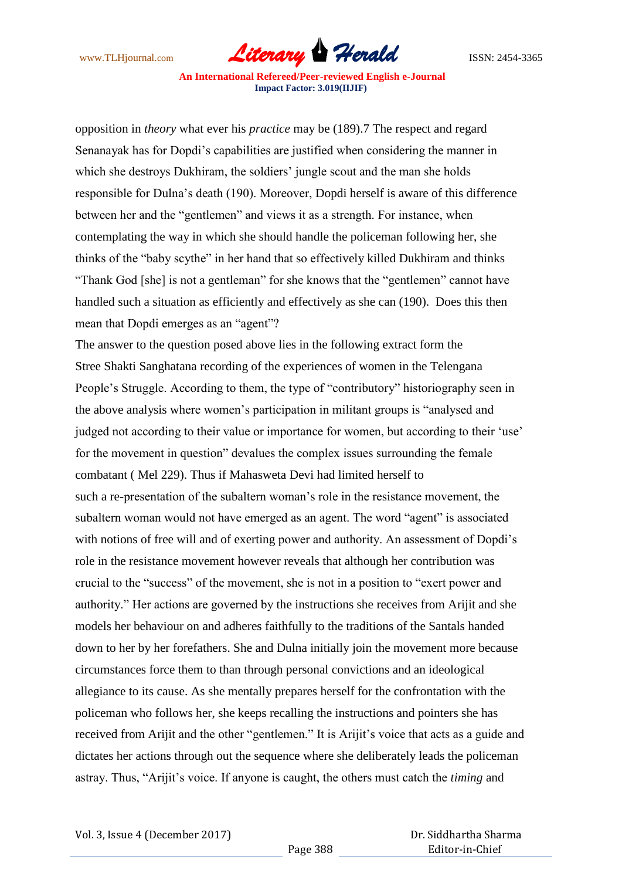

opposition in *theory* what ever his *practice* may be (189).7 The respect and regard Senanayak has for Dopdi"s capabilities are justified when considering the manner in which she destroys Dukhiram, the soldiers' jungle scout and the man she holds responsible for Dulna"s death (190). Moreover, Dopdi herself is aware of this difference between her and the "gentlemen" and views it as a strength. For instance, when contemplating the way in which she should handle the policeman following her, she thinks of the "baby scythe" in her hand that so effectively killed Dukhiram and thinks "Thank God [she] is not a gentleman" for she knows that the "gentlemen" cannot have handled such a situation as efficiently and effectively as she can (190). Does this then mean that Dopdi emerges as an "agent"?

The answer to the question posed above lies in the following extract form the Stree Shakti Sanghatana recording of the experiences of women in the Telengana People's Struggle. According to them, the type of "contributory" historiography seen in the above analysis where women"s participation in militant groups is "analysed and judged not according to their value or importance for women, but according to their 'use' for the movement in question" devalues the complex issues surrounding the female combatant ( Mel 229). Thus if Mahasweta Devi had limited herself to such a re-presentation of the subaltern woman"s role in the resistance movement, the subaltern woman would not have emerged as an agent. The word "agent" is associated with notions of free will and of exerting power and authority. An assessment of Dopdi's role in the resistance movement however reveals that although her contribution was crucial to the "success" of the movement, she is not in a position to "exert power and authority." Her actions are governed by the instructions she receives from Arijit and she models her behaviour on and adheres faithfully to the traditions of the Santals handed down to her by her forefathers. She and Dulna initially join the movement more because circumstances force them to than through personal convictions and an ideological allegiance to its cause. As she mentally prepares herself for the confrontation with the policeman who follows her, she keeps recalling the instructions and pointers she has received from Arijit and the other "gentlemen." It is Arijit's voice that acts as a guide and dictates her actions through out the sequence where she deliberately leads the policeman astray. Thus, "Arijit"s voice. If anyone is caught, the others must catch the *timing* and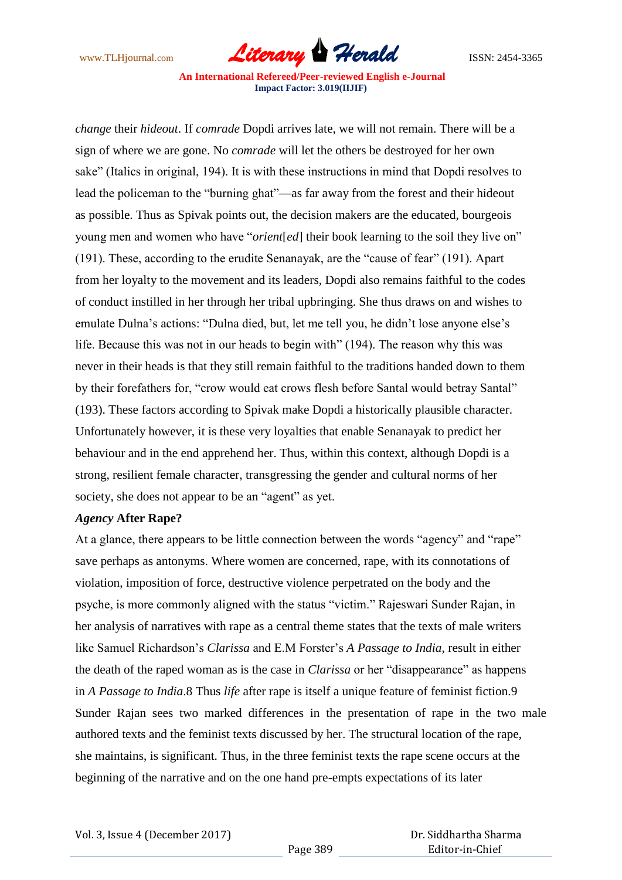

*change* their *hideout*. If *comrade* Dopdi arrives late, we will not remain. There will be a sign of where we are gone. No *comrade* will let the others be destroyed for her own sake" (Italics in original, 194). It is with these instructions in mind that Dopdi resolves to lead the policeman to the "burning ghat"—as far away from the forest and their hideout as possible. Thus as Spivak points out, the decision makers are the educated, bourgeois young men and women who have "*orient*[*ed*] their book learning to the soil they live on" (191). These, according to the erudite Senanayak, are the "cause of fear" (191). Apart from her loyalty to the movement and its leaders, Dopdi also remains faithful to the codes of conduct instilled in her through her tribal upbringing. She thus draws on and wishes to emulate Dulna"s actions: "Dulna died, but, let me tell you, he didn"t lose anyone else"s life. Because this was not in our heads to begin with" (194). The reason why this was never in their heads is that they still remain faithful to the traditions handed down to them by their forefathers for, "crow would eat crows flesh before Santal would betray Santal" (193). These factors according to Spivak make Dopdi a historically plausible character. Unfortunately however, it is these very loyalties that enable Senanayak to predict her behaviour and in the end apprehend her. Thus, within this context, although Dopdi is a strong, resilient female character, transgressing the gender and cultural norms of her society, she does not appear to be an "agent" as yet.

### *Agency* **After Rape?**

At a glance, there appears to be little connection between the words "agency" and "rape" save perhaps as antonyms. Where women are concerned, rape, with its connotations of violation, imposition of force, destructive violence perpetrated on the body and the psyche, is more commonly aligned with the status "victim." Rajeswari Sunder Rajan, in her analysis of narratives with rape as a central theme states that the texts of male writers like Samuel Richardson"s *Clarissa* and E.M Forster"s *A Passage to India*, result in either the death of the raped woman as is the case in *Clarissa* or her "disappearance" as happens in *A Passage to India*.8 Thus *life* after rape is itself a unique feature of feminist fiction.9 Sunder Rajan sees two marked differences in the presentation of rape in the two male authored texts and the feminist texts discussed by her. The structural location of the rape, she maintains, is significant. Thus, in the three feminist texts the rape scene occurs at the beginning of the narrative and on the one hand pre-empts expectations of its later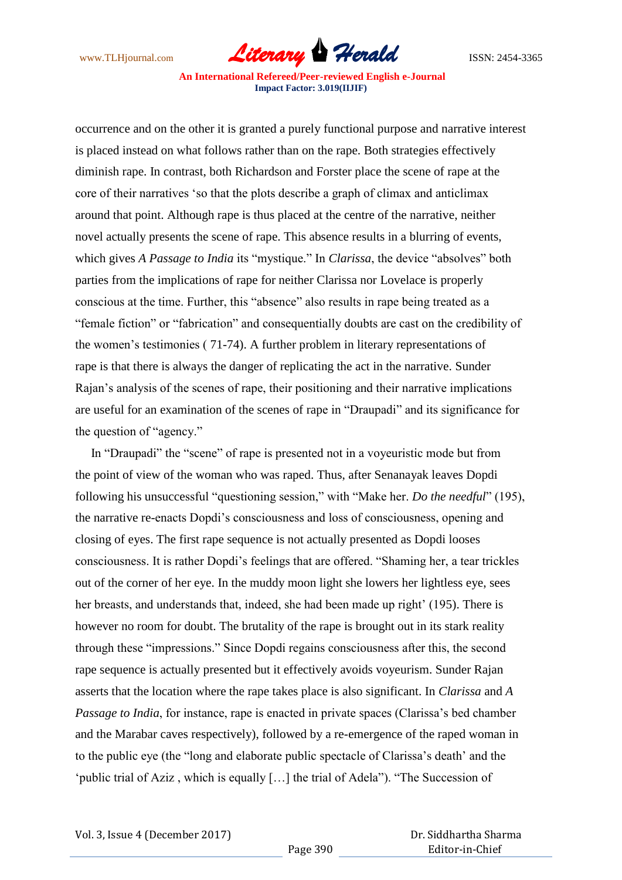www.TLHjournal.com *Literary Herald*ISSN: 2454-3365

occurrence and on the other it is granted a purely functional purpose and narrative interest is placed instead on what follows rather than on the rape. Both strategies effectively diminish rape. In contrast, both Richardson and Forster place the scene of rape at the core of their narratives "so that the plots describe a graph of climax and anticlimax around that point. Although rape is thus placed at the centre of the narrative, neither novel actually presents the scene of rape. This absence results in a blurring of events, which gives *A Passage to India* its "mystique." In *Clarissa*, the device "absolves" both parties from the implications of rape for neither Clarissa nor Lovelace is properly conscious at the time. Further, this "absence" also results in rape being treated as a "female fiction" or "fabrication" and consequentially doubts are cast on the credibility of the women"s testimonies ( 71-74). A further problem in literary representations of rape is that there is always the danger of replicating the act in the narrative. Sunder Rajan"s analysis of the scenes of rape, their positioning and their narrative implications are useful for an examination of the scenes of rape in "Draupadi" and its significance for the question of "agency."

 In "Draupadi" the "scene" of rape is presented not in a voyeuristic mode but from the point of view of the woman who was raped. Thus, after Senanayak leaves Dopdi following his unsuccessful "questioning session," with "Make her. *Do the needful*" (195), the narrative re-enacts Dopdi"s consciousness and loss of consciousness, opening and closing of eyes. The first rape sequence is not actually presented as Dopdi looses consciousness. It is rather Dopdi"s feelings that are offered. "Shaming her, a tear trickles out of the corner of her eye. In the muddy moon light she lowers her lightless eye, sees her breasts, and understands that, indeed, she had been made up right' (195). There is however no room for doubt. The brutality of the rape is brought out in its stark reality through these "impressions." Since Dopdi regains consciousness after this, the second rape sequence is actually presented but it effectively avoids voyeurism. Sunder Rajan asserts that the location where the rape takes place is also significant. In *Clarissa* and *A Passage to India*, for instance, rape is enacted in private spaces (Clarissa's bed chamber and the Marabar caves respectively), followed by a re-emergence of the raped woman in to the public eye (the "long and elaborate public spectacle of Clarissa"s death" and the 'public trial of Aziz, which is equally [...] the trial of Adela"). "The Succession of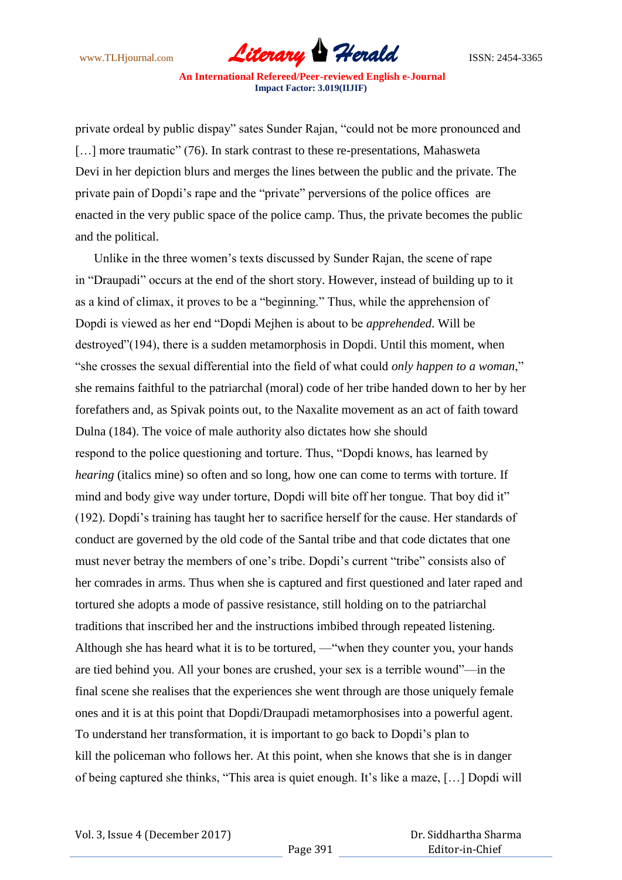www.TLHjournal.com *Literary Herald*ISSN: 2454-3365

private ordeal by public dispay" sates Sunder Rajan, "could not be more pronounced and [...] more traumatic" (76). In stark contrast to these re-presentations, Mahasweta Devi in her depiction blurs and merges the lines between the public and the private. The private pain of Dopdi"s rape and the "private" perversions of the police offices are enacted in the very public space of the police camp. Thus, the private becomes the public and the political.

 Unlike in the three women"s texts discussed by Sunder Rajan, the scene of rape in "Draupadi" occurs at the end of the short story. However, instead of building up to it as a kind of climax, it proves to be a "beginning." Thus, while the apprehension of Dopdi is viewed as her end "Dopdi Mejhen is about to be *apprehended*. Will be destroyed"(194), there is a sudden metamorphosis in Dopdi. Until this moment, when "she crosses the sexual differential into the field of what could *only happen to a woman*," she remains faithful to the patriarchal (moral) code of her tribe handed down to her by her forefathers and, as Spivak points out, to the Naxalite movement as an act of faith toward Dulna (184). The voice of male authority also dictates how she should respond to the police questioning and torture. Thus, "Dopdi knows, has learned by *hearing* (italics mine) so often and so long, how one can come to terms with torture. If mind and body give way under torture, Dopdi will bite off her tongue. That boy did it" (192). Dopdi"s training has taught her to sacrifice herself for the cause. Her standards of conduct are governed by the old code of the Santal tribe and that code dictates that one must never betray the members of one"s tribe. Dopdi"s current "tribe" consists also of her comrades in arms. Thus when she is captured and first questioned and later raped and tortured she adopts a mode of passive resistance, still holding on to the patriarchal traditions that inscribed her and the instructions imbibed through repeated listening. Although she has heard what it is to be tortured, —"when they counter you, your hands are tied behind you. All your bones are crushed, your sex is a terrible wound"—in the final scene she realises that the experiences she went through are those uniquely female ones and it is at this point that Dopdi/Draupadi metamorphosises into a powerful agent. To understand her transformation, it is important to go back to Dopdi"s plan to kill the policeman who follows her. At this point, when she knows that she is in danger of being captured she thinks, "This area is quiet enough. It"s like a maze, […] Dopdi will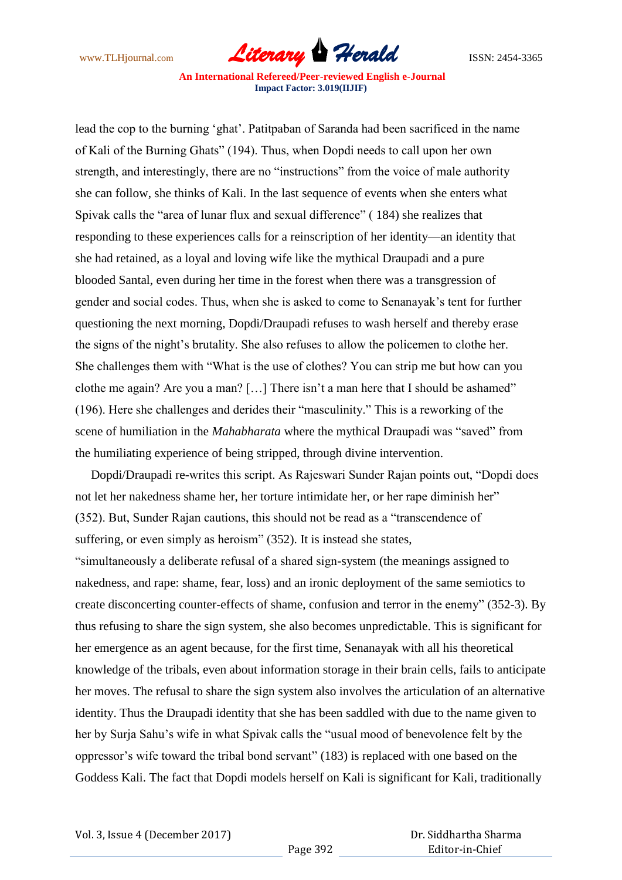www.TLHjournal.com *Literary Herald*ISSN: 2454-3365

lead the cop to the burning "ghat". Patitpaban of Saranda had been sacrificed in the name of Kali of the Burning Ghats" (194). Thus, when Dopdi needs to call upon her own strength, and interestingly, there are no "instructions" from the voice of male authority she can follow, she thinks of Kali. In the last sequence of events when she enters what Spivak calls the "area of lunar flux and sexual difference" ( 184) she realizes that responding to these experiences calls for a reinscription of her identity—an identity that she had retained, as a loyal and loving wife like the mythical Draupadi and a pure blooded Santal, even during her time in the forest when there was a transgression of gender and social codes. Thus, when she is asked to come to Senanayak"s tent for further questioning the next morning, Dopdi/Draupadi refuses to wash herself and thereby erase the signs of the night"s brutality. She also refuses to allow the policemen to clothe her. She challenges them with "What is the use of clothes? You can strip me but how can you clothe me again? Are you a man? [...] There isn't a man here that I should be ashamed" (196). Here she challenges and derides their "masculinity." This is a reworking of the scene of humiliation in the *Mahabharata* where the mythical Draupadi was "saved" from the humiliating experience of being stripped, through divine intervention.

 Dopdi/Draupadi re-writes this script. As Rajeswari Sunder Rajan points out, "Dopdi does not let her nakedness shame her, her torture intimidate her, or her rape diminish her" (352). But, Sunder Rajan cautions, this should not be read as a "transcendence of suffering, or even simply as heroism" (352). It is instead she states,

"simultaneously a deliberate refusal of a shared sign-system (the meanings assigned to nakedness, and rape: shame, fear, loss) and an ironic deployment of the same semiotics to create disconcerting counter-effects of shame, confusion and terror in the enemy" (352-3). By thus refusing to share the sign system, she also becomes unpredictable. This is significant for her emergence as an agent because, for the first time, Senanayak with all his theoretical knowledge of the tribals, even about information storage in their brain cells, fails to anticipate her moves. The refusal to share the sign system also involves the articulation of an alternative identity. Thus the Draupadi identity that she has been saddled with due to the name given to her by Surja Sahu"s wife in what Spivak calls the "usual mood of benevolence felt by the oppressor"s wife toward the tribal bond servant" (183) is replaced with one based on the Goddess Kali. The fact that Dopdi models herself on Kali is significant for Kali, traditionally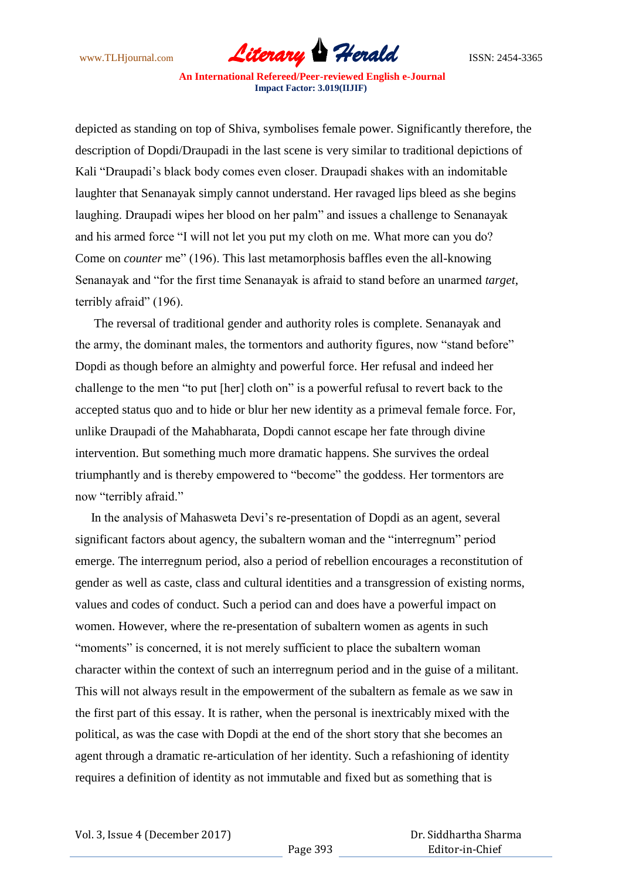www.TLHjournal.com *Literary Herald*ISSN: 2454-3365

depicted as standing on top of Shiva, symbolises female power. Significantly therefore, the description of Dopdi/Draupadi in the last scene is very similar to traditional depictions of Kali "Draupadi"s black body comes even closer. Draupadi shakes with an indomitable laughter that Senanayak simply cannot understand. Her ravaged lips bleed as she begins laughing. Draupadi wipes her blood on her palm" and issues a challenge to Senanayak and his armed force "I will not let you put my cloth on me. What more can you do? Come on *counter* me" (196). This last metamorphosis baffles even the all-knowing Senanayak and "for the first time Senanayak is afraid to stand before an unarmed *target*, terribly afraid" (196).

 The reversal of traditional gender and authority roles is complete. Senanayak and the army, the dominant males, the tormentors and authority figures, now "stand before" Dopdi as though before an almighty and powerful force. Her refusal and indeed her challenge to the men "to put [her] cloth on" is a powerful refusal to revert back to the accepted status quo and to hide or blur her new identity as a primeval female force. For, unlike Draupadi of the Mahabharata, Dopdi cannot escape her fate through divine intervention. But something much more dramatic happens. She survives the ordeal triumphantly and is thereby empowered to "become" the goddess. Her tormentors are now "terribly afraid."

 In the analysis of Mahasweta Devi"s re-presentation of Dopdi as an agent, several significant factors about agency, the subaltern woman and the "interregnum" period emerge. The interregnum period, also a period of rebellion encourages a reconstitution of gender as well as caste, class and cultural identities and a transgression of existing norms, values and codes of conduct. Such a period can and does have a powerful impact on women. However, where the re-presentation of subaltern women as agents in such "moments" is concerned, it is not merely sufficient to place the subaltern woman character within the context of such an interregnum period and in the guise of a militant. This will not always result in the empowerment of the subaltern as female as we saw in the first part of this essay. It is rather, when the personal is inextricably mixed with the political, as was the case with Dopdi at the end of the short story that she becomes an agent through a dramatic re-articulation of her identity. Such a refashioning of identity requires a definition of identity as not immutable and fixed but as something that is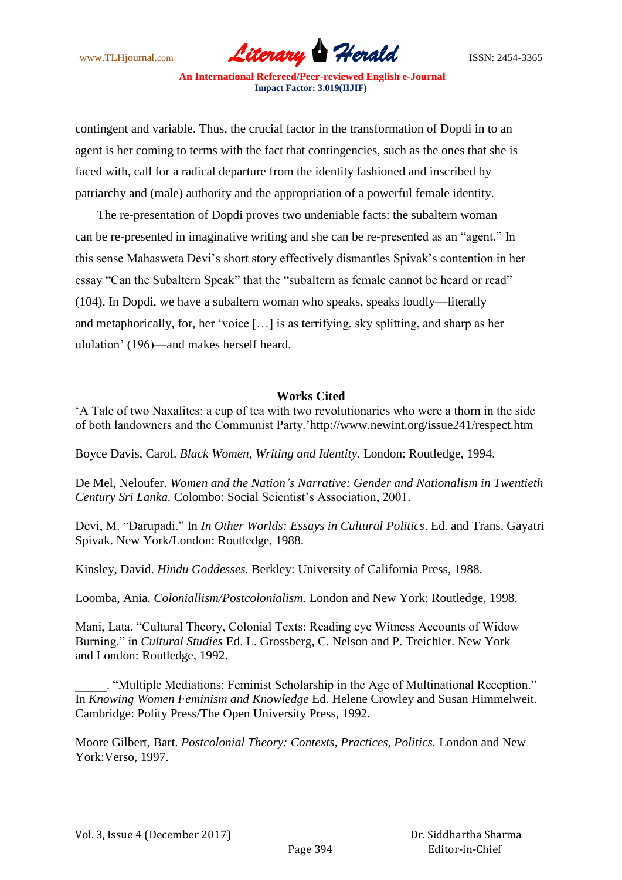www.TLHjournal.com **Literary Herald Herald** ISSN: 2454-3365

contingent and variable. Thus, the crucial factor in the transformation of Dopdi in to an agent is her coming to terms with the fact that contingencies, such as the ones that she is faced with, call for a radical departure from the identity fashioned and inscribed by patriarchy and (male) authority and the appropriation of a powerful female identity.

 The re-presentation of Dopdi proves two undeniable facts: the subaltern woman can be re-presented in imaginative writing and she can be re-presented as an "agent." In this sense Mahasweta Devi"s short story effectively dismantles Spivak"s contention in her essay "Can the Subaltern Speak" that the "subaltern as female cannot be heard or read" (104). In Dopdi, we have a subaltern woman who speaks, speaks loudly—literally and metaphorically, for, her "voice […] is as terrifying, sky splitting, and sharp as her ululation" (196)—and makes herself heard.

## **Works Cited**

"A Tale of two Naxalites: a cup of tea with two revolutionaries who were a thorn in the side of both landowners and the Communist Party."http://www.newint.org/issue241/respect.htm

Boyce Davis, Carol. *Black Women, Writing and Identity.* London: Routledge, 1994.

De Mel, Neloufer. *Women and the Nation's Narrative: Gender and Nationalism in Twentieth Century Sri Lanka.* Colombo: Social Scientist's Association, 2001.

Devi, M. "Darupadi." In *In Other Worlds: Essays in Cultural Politics*. Ed. and Trans. Gayatri Spivak. New York/London: Routledge, 1988.

Kinsley, David. *Hindu Goddesses.* Berkley: University of California Press, 1988.

Loomba, Ania. *Coloniallism/Postcolonialism.* London and New York: Routledge, 1998.

Mani, Lata. "Cultural Theory, Colonial Texts: Reading eye Witness Accounts of Widow Burning." in *Cultural Studies* Ed. L. Grossberg, C. Nelson and P. Treichler. New York and London: Routledge, 1992.

\_\_\_\_\_. "Multiple Mediations: Feminist Scholarship in the Age of Multinational Reception." In *Knowing Women Feminism and Knowledge* Ed. Helene Crowley and Susan Himmelweit. Cambridge: Polity Press/The Open University Press, 1992.

Moore Gilbert, Bart. *Postcolonial Theory: Contexts, Practices, Politics.* London and New York:Verso, 1997.